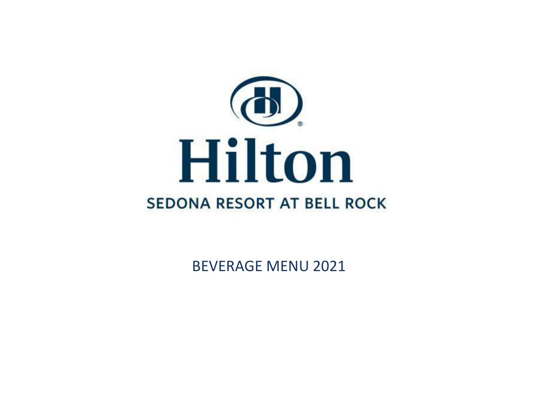

BEVERAGE MENU 2021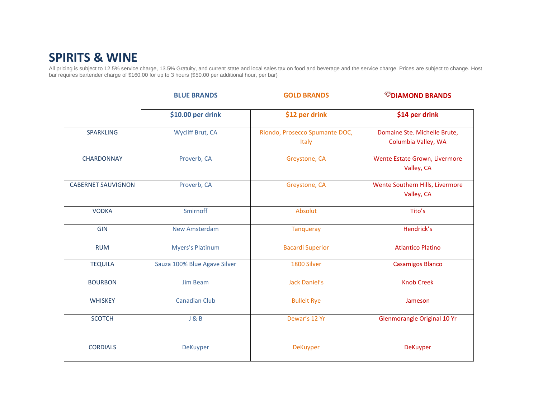## **SPIRITS & WINE**

All pricing is subject to 12.5% service charge, 13.5% Gratuity, and current state and local sales tax on food and beverage and the service charge. Prices are subject to change. Host bar requires bartender charge of \$160.00 for up to 3 hours (\$50.00 per additional hour, per bar)

|                           | <b>BLUE BRANDS</b>           | <b>GOLD BRANDS</b>                      | <b><i><sup>W</sup>DIAMOND BRANDS</i></b>            |
|---------------------------|------------------------------|-----------------------------------------|-----------------------------------------------------|
|                           | \$10.00 per drink            | \$12 per drink                          | \$14 per drink                                      |
| <b>SPARKLING</b>          | <b>Wycliff Brut, CA</b>      | Riondo, Prosecco Spumante DOC,<br>Italy | Domaine Ste. Michelle Brute,<br>Columbia Valley, WA |
| CHARDONNAY                | Proverb, CA                  | Greystone, CA                           | Wente Estate Grown, Livermore<br>Valley, CA         |
| <b>CABERNET SAUVIGNON</b> | Proverb, CA                  | Greystone, CA                           | Wente Southern Hills, Livermore<br>Valley, CA       |
| <b>VODKA</b>              | Smirnoff                     | Absolut                                 | Tito's                                              |
| <b>GIN</b>                | <b>New Amsterdam</b>         | <b>Tanqueray</b>                        | Hendrick's                                          |
| <b>RUM</b>                | <b>Myers's Platinum</b>      | <b>Bacardi Superior</b>                 | <b>Atlantico Platino</b>                            |
| <b>TEQUILA</b>            | Sauza 100% Blue Agave Silver | 1800 Silver                             | <b>Casamigos Blanco</b>                             |
| <b>BOURBON</b>            | <b>Jim Beam</b>              | <b>Jack Daniel's</b>                    | <b>Knob Creek</b>                                   |
| <b>WHISKEY</b>            | <b>Canadian Club</b>         | <b>Bulleit Rye</b>                      | Jameson                                             |
| <b>SCOTCH</b>             | J & B                        | Dewar's 12 Yr                           | Glenmorangie Original 10 Yr                         |
| <b>CORDIALS</b>           | DeKuyper                     | <b>DeKuyper</b>                         | <b>DeKuyper</b>                                     |